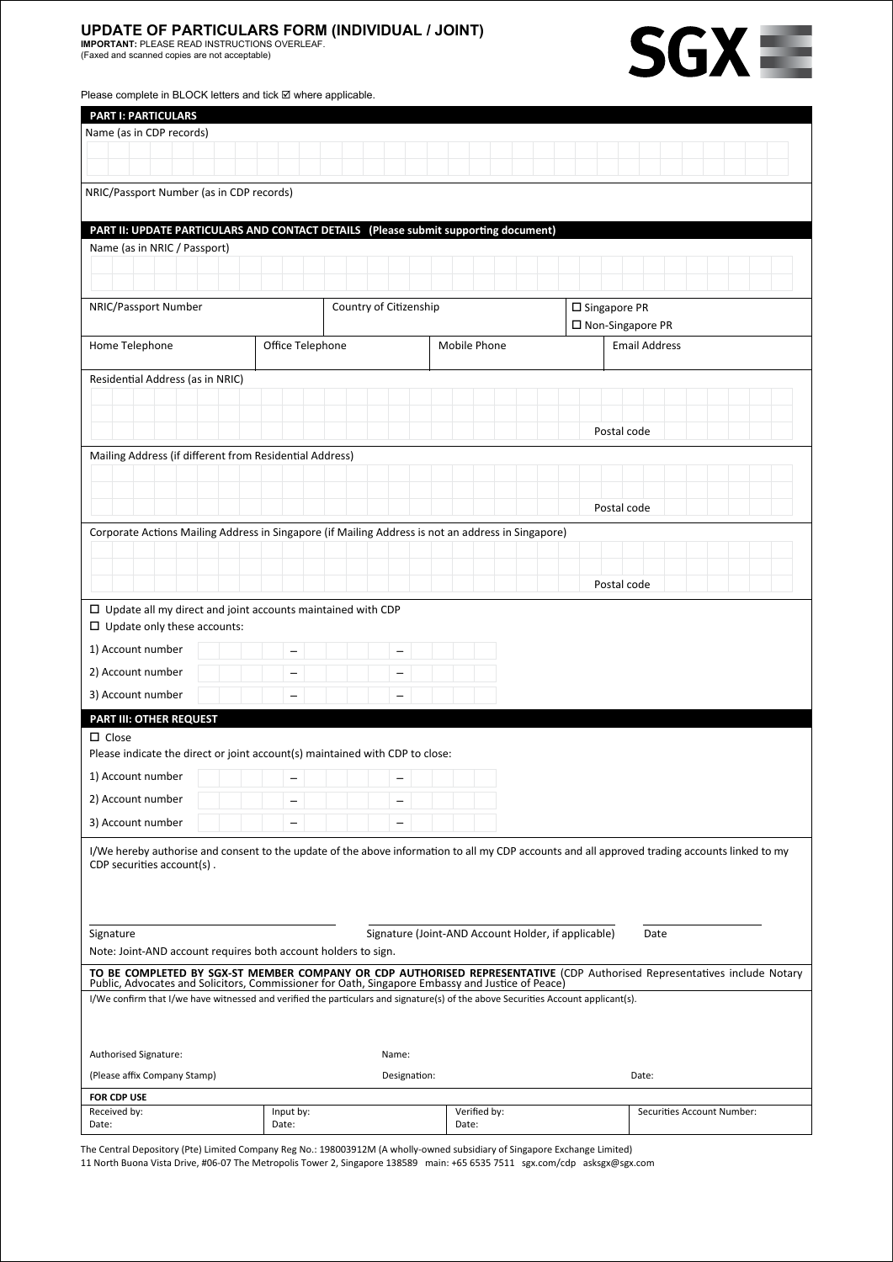## **UPDATE OF PARTICULARS FORM (INDIVIDUAL / JOINT)**<br>IMPORTANT: PLEASE READ INSTRUCTIONS OVERLEAF.<br>(Faxed and scanned copies are not acceptable)





| Please complete in BLOCK letters and tick ⊠ where applicable. |  |
|---------------------------------------------------------------|--|
|---------------------------------------------------------------|--|

| <b>PART I: PARTICULARS</b>                                                                                                                                                                                                   |                  |                          |                                      |             |                            |  |  |
|------------------------------------------------------------------------------------------------------------------------------------------------------------------------------------------------------------------------------|------------------|--------------------------|--------------------------------------|-------------|----------------------------|--|--|
| Name (as in CDP records)                                                                                                                                                                                                     |                  |                          |                                      |             |                            |  |  |
|                                                                                                                                                                                                                              |                  |                          |                                      |             |                            |  |  |
|                                                                                                                                                                                                                              |                  |                          |                                      |             |                            |  |  |
| NRIC/Passport Number (as in CDP records)                                                                                                                                                                                     |                  |                          |                                      |             |                            |  |  |
| PART II: UPDATE PARTICULARS AND CONTACT DETAILS (Please submit supporting document)                                                                                                                                          |                  |                          |                                      |             |                            |  |  |
| Name (as in NRIC / Passport)                                                                                                                                                                                                 |                  |                          |                                      |             |                            |  |  |
|                                                                                                                                                                                                                              |                  |                          |                                      |             |                            |  |  |
| NRIC/Passport Number<br>Country of Citizenship                                                                                                                                                                               |                  |                          | □ Singapore PR<br>□ Non-Singapore PR |             |                            |  |  |
| Home Telephone                                                                                                                                                                                                               | Office Telephone |                          | Mobile Phone                         |             | <b>Email Address</b>       |  |  |
| Residential Address (as in NRIC)                                                                                                                                                                                             |                  |                          |                                      |             |                            |  |  |
|                                                                                                                                                                                                                              |                  |                          |                                      |             |                            |  |  |
|                                                                                                                                                                                                                              |                  |                          |                                      |             |                            |  |  |
|                                                                                                                                                                                                                              |                  |                          |                                      | Postal code |                            |  |  |
| Mailing Address (if different from Residential Address)                                                                                                                                                                      |                  |                          |                                      |             |                            |  |  |
|                                                                                                                                                                                                                              |                  |                          |                                      |             |                            |  |  |
|                                                                                                                                                                                                                              |                  |                          |                                      |             |                            |  |  |
|                                                                                                                                                                                                                              |                  |                          |                                      | Postal code |                            |  |  |
| Corporate Actions Mailing Address in Singapore (if Mailing Address is not an address in Singapore)                                                                                                                           |                  |                          |                                      |             |                            |  |  |
|                                                                                                                                                                                                                              |                  |                          |                                      |             |                            |  |  |
|                                                                                                                                                                                                                              |                  |                          |                                      | Postal code |                            |  |  |
| $\Box$ Update all my direct and joint accounts maintained with CDP                                                                                                                                                           |                  |                          |                                      |             |                            |  |  |
| $\Box$ Update only these accounts:                                                                                                                                                                                           |                  |                          |                                      |             |                            |  |  |
| 1) Account number                                                                                                                                                                                                            |                  |                          |                                      |             |                            |  |  |
| 2) Account number                                                                                                                                                                                                            |                  |                          |                                      |             |                            |  |  |
| 3) Account number                                                                                                                                                                                                            |                  |                          |                                      |             |                            |  |  |
|                                                                                                                                                                                                                              |                  |                          |                                      |             |                            |  |  |
| PART III: OTHER REQUEST                                                                                                                                                                                                      |                  |                          |                                      |             |                            |  |  |
| $\Box$ Close<br>Please indicate the direct or joint account(s) maintained with CDP to close:                                                                                                                                 |                  |                          |                                      |             |                            |  |  |
|                                                                                                                                                                                                                              |                  |                          |                                      |             |                            |  |  |
| 2) Account number                                                                                                                                                                                                            | $\equiv$         | $\overline{\phantom{0}}$ |                                      |             |                            |  |  |
| 3) Account number                                                                                                                                                                                                            |                  | $\overline{\phantom{0}}$ |                                      |             |                            |  |  |
|                                                                                                                                                                                                                              |                  |                          |                                      |             |                            |  |  |
| I/We hereby authorise and consent to the update of the above information to all my CDP accounts and all approved trading accounts linked to my<br>CDP securities account(s).                                                 |                  |                          |                                      |             |                            |  |  |
|                                                                                                                                                                                                                              |                  |                          |                                      |             |                            |  |  |
|                                                                                                                                                                                                                              |                  |                          |                                      |             |                            |  |  |
|                                                                                                                                                                                                                              |                  |                          |                                      |             |                            |  |  |
| Signature (Joint-AND Account Holder, if applicable)<br>Signature<br>Date                                                                                                                                                     |                  |                          |                                      |             |                            |  |  |
| Note: Joint-AND account requires both account holders to sign.                                                                                                                                                               |                  |                          |                                      |             |                            |  |  |
| TO BE COMPLETED BY SGX-ST MEMBER COMPANY OR CDP AUTHORISED REPRESENTATIVE (CDP Authorised Representatives include Notary<br>Public, Advocates and Solicitors, Commissioner for Oath, Singapore Embassy and Justice of Peace) |                  |                          |                                      |             |                            |  |  |
| I/We confirm that I/we have witnessed and verified the particulars and signature(s) of the above Securities Account applicant(s).                                                                                            |                  |                          |                                      |             |                            |  |  |
|                                                                                                                                                                                                                              |                  |                          |                                      |             |                            |  |  |
|                                                                                                                                                                                                                              |                  | Name:                    |                                      |             |                            |  |  |
| Authorised Signature:                                                                                                                                                                                                        |                  |                          |                                      |             | Date:                      |  |  |
| (Please affix Company Stamp)<br>Designation:                                                                                                                                                                                 |                  |                          |                                      |             |                            |  |  |
| FOR CDP USE<br>Received by:                                                                                                                                                                                                  | Input by:        |                          | Verified by:                         |             | Securities Account Number: |  |  |
| Date:                                                                                                                                                                                                                        | Date:            |                          | Date:                                |             |                            |  |  |

The Central Depository (Pte) Limited Company Reg No.: 198003912M (A wholly-owned subsidiary of Singapore Exchange Limited)

11 North Buona Vista Drive, #06-07 The Metropolis Tower 2, Singapore 138589 main: +65 6535 7511 sgx.com/cdp asksgx@sgx.com